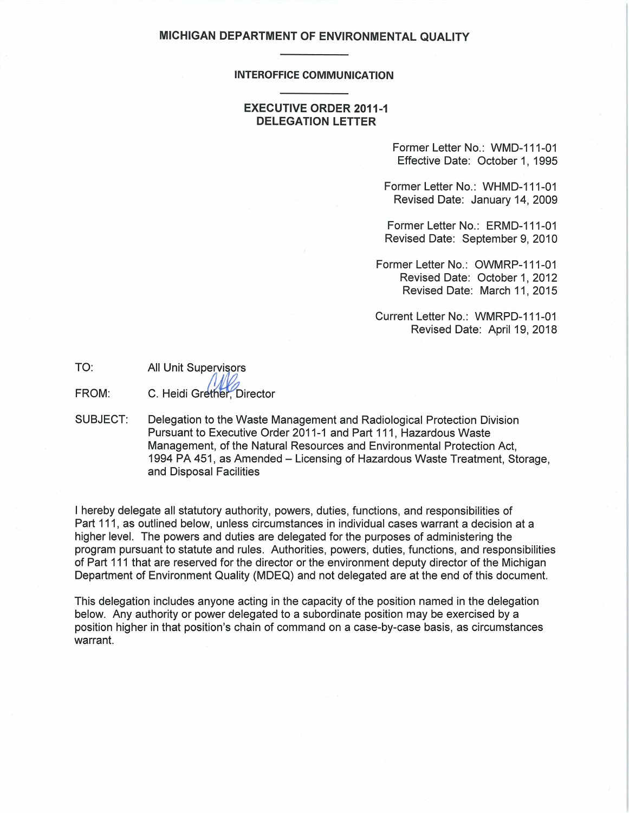# **MICHIGAN DEPARTMENT OF ENVIRONMENTAL QUALITY**

### **INTEROFFICE COMMUNICATION**

## **EXECUTIVE ORDER 2011-1 DELEGATION LETTER**

Former Letter No.: WMD-111-01 Effective Date: October 1, 1995

Former Letter No.: WHMD-111-01 Revised Date: January 14, 2009

Former Letter No.: ERMD-111-01 Revised Date: September 9, 2010

Former Letter No.: OWMRP-111-01 Revised Date: October 1, 2012 Revised Date: March 11, 2015

Current Letter No.: WMRPD-111-01 Revised Date: April 19, 2018

| TO: | All Unit Supervisors |  |
|-----|----------------------|--|
|     | Alla                 |  |

FROM: C. Heidi Grether, Director

SUBJECT: Delegation to the Waste Management and Radiological Protection Division Pursuant to Executive Order 2011-1 and Part 111 , Hazardous Waste Management, of the Natural Resources and Environmental Protection Act, 1994 PA 451, as Amended- Licensing of Hazardous Waste Treatment, Storage, and Disposal Facilities

I hereby delegate all statutory authority, powers, duties, functions, and responsibilities of Part 111, as outlined below, unless circumstances in individual cases warrant a decision at a higher level. The powers and duties are delegated for the purposes of administering the program pursuant to statute and rules. Authorities, powers, duties, functions, and responsibilities of Part 111 that are reserved for the director or the environment deputy director of the Michigan Department of Environment Quality (MDEQ) and not delegated are at the end of this document.

This delegation includes anyone acting in the capacity of the position named in the delegation below. Any authority or power delegated to a subordinate position may be exercised by a position higher in that position's chain of command on a case-by-case basis, as circumstances warrant.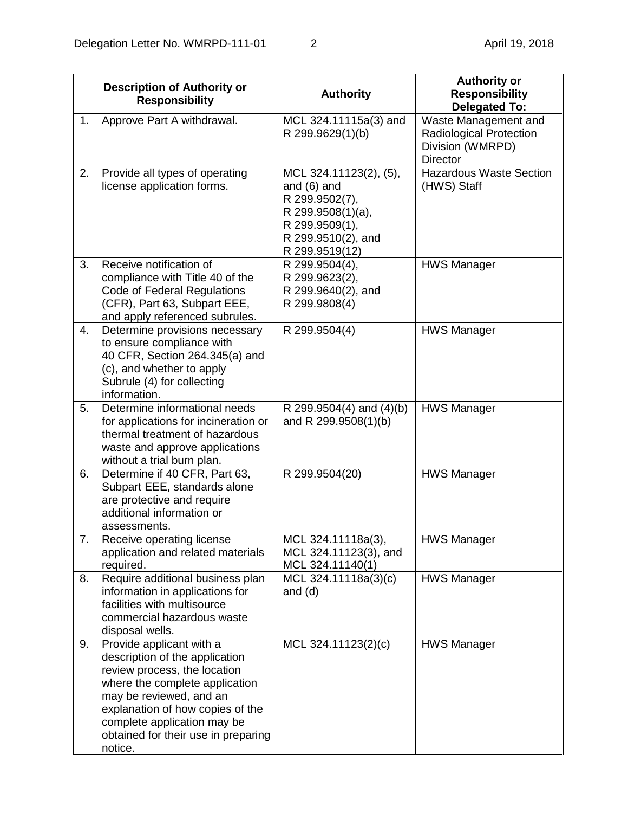|    | <b>Description of Authority or</b><br><b>Responsibility</b>                                                                                                                                                                                                                  | <b>Authority</b>                                                                                                                         | <b>Authority or</b><br><b>Responsibility</b><br><b>Delegated To:</b>                          |
|----|------------------------------------------------------------------------------------------------------------------------------------------------------------------------------------------------------------------------------------------------------------------------------|------------------------------------------------------------------------------------------------------------------------------------------|-----------------------------------------------------------------------------------------------|
| 1. | Approve Part A withdrawal.                                                                                                                                                                                                                                                   | MCL 324.11115a(3) and<br>R 299.9629(1)(b)                                                                                                | Waste Management and<br><b>Radiological Protection</b><br>Division (WMRPD)<br><b>Director</b> |
| 2. | Provide all types of operating<br>license application forms.                                                                                                                                                                                                                 | MCL 324.11123(2), (5),<br>and $(6)$ and<br>R 299.9502(7),<br>R 299.9508(1)(a),<br>R 299.9509(1),<br>R 299.9510(2), and<br>R 299.9519(12) | <b>Hazardous Waste Section</b><br>(HWS) Staff                                                 |
| 3. | Receive notification of<br>compliance with Title 40 of the<br>Code of Federal Regulations<br>(CFR), Part 63, Subpart EEE,<br>and apply referenced subrules.                                                                                                                  | R 299.9504(4),<br>R 299.9623(2),<br>R 299.9640(2), and<br>R 299.9808(4)                                                                  | <b>HWS Manager</b>                                                                            |
| 4. | Determine provisions necessary<br>to ensure compliance with<br>40 CFR, Section 264.345(a) and<br>(c), and whether to apply<br>Subrule (4) for collecting<br>information.                                                                                                     | R 299.9504(4)                                                                                                                            | <b>HWS Manager</b>                                                                            |
| 5. | Determine informational needs<br>for applications for incineration or<br>thermal treatment of hazardous<br>waste and approve applications<br>without a trial burn plan.                                                                                                      | R 299.9504(4) and $(4)(b)$<br>and R 299.9508(1)(b)                                                                                       | <b>HWS Manager</b>                                                                            |
| 6. | Determine if 40 CFR, Part 63,<br>Subpart EEE, standards alone<br>are protective and require<br>additional information or<br>assessments.                                                                                                                                     | R 299.9504(20)                                                                                                                           | <b>HWS Manager</b>                                                                            |
| 7. | Receive operating license<br>application and related materials<br>required.                                                                                                                                                                                                  | MCL 324.11118a(3),<br>MCL 324.11123(3), and<br>MCL 324.11140(1)                                                                          | <b>HWS Manager</b>                                                                            |
| 8. | Require additional business plan<br>information in applications for<br>facilities with multisource<br>commercial hazardous waste<br>disposal wells.                                                                                                                          | MCL 324.11118a(3)(c)<br>and $(d)$                                                                                                        | <b>HWS Manager</b>                                                                            |
| 9. | Provide applicant with a<br>description of the application<br>review process, the location<br>where the complete application<br>may be reviewed, and an<br>explanation of how copies of the<br>complete application may be<br>obtained for their use in preparing<br>notice. | MCL 324.11123(2)(c)                                                                                                                      | <b>HWS Manager</b>                                                                            |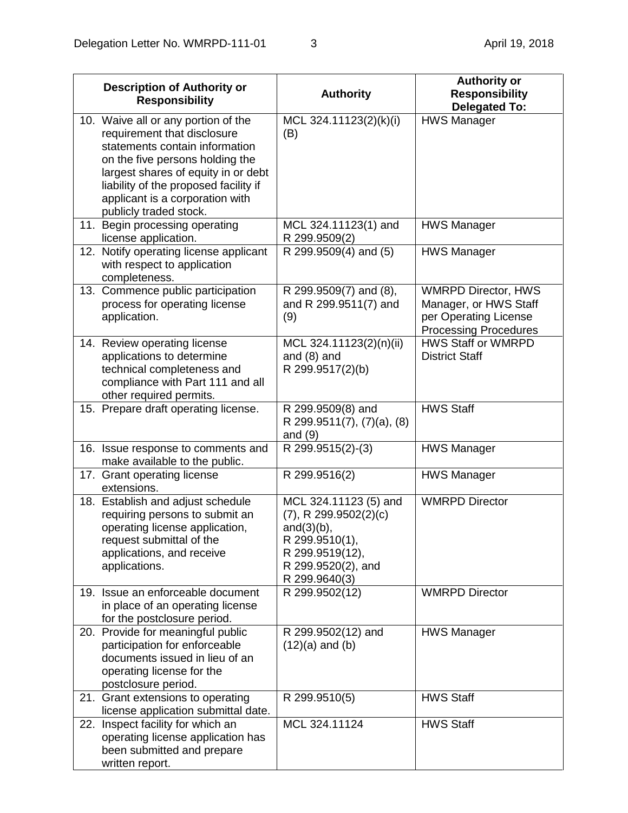| <b>Description of Authority or</b><br><b>Responsibility</b>                                                                                                                                                                                                                          | <b>Authority</b>                                                                                                                                | <b>Authority or</b><br><b>Responsibility</b><br><b>Delegated To:</b>                                         |
|--------------------------------------------------------------------------------------------------------------------------------------------------------------------------------------------------------------------------------------------------------------------------------------|-------------------------------------------------------------------------------------------------------------------------------------------------|--------------------------------------------------------------------------------------------------------------|
| 10. Waive all or any portion of the<br>requirement that disclosure<br>statements contain information<br>on the five persons holding the<br>largest shares of equity in or debt<br>liability of the proposed facility if<br>applicant is a corporation with<br>publicly traded stock. | MCL 324.11123(2)(k)(i)<br>(B)                                                                                                                   | <b>HWS Manager</b>                                                                                           |
| 11. Begin processing operating<br>license application.                                                                                                                                                                                                                               | MCL 324.11123(1) and<br>R 299.9509(2)                                                                                                           | <b>HWS Manager</b>                                                                                           |
| 12. Notify operating license applicant<br>with respect to application<br>completeness.                                                                                                                                                                                               | R 299.9509(4) and (5)                                                                                                                           | <b>HWS Manager</b>                                                                                           |
| 13. Commence public participation<br>process for operating license<br>application.                                                                                                                                                                                                   | R 299.9509(7) and (8),<br>and R 299.9511(7) and<br>(9)                                                                                          | <b>WMRPD Director, HWS</b><br>Manager, or HWS Staff<br>per Operating License<br><b>Processing Procedures</b> |
| 14. Review operating license<br>applications to determine<br>technical completeness and<br>compliance with Part 111 and all<br>other required permits.                                                                                                                               | MCL 324.11123(2)(n)(ii)<br>and $(8)$ and<br>R 299.9517(2)(b)                                                                                    | <b>HWS Staff or WMRPD</b><br><b>District Staff</b>                                                           |
| 15. Prepare draft operating license.                                                                                                                                                                                                                                                 | R 299.9509(8) and<br>R 299.9511(7), (7)(a), (8)<br>and $(9)$                                                                                    | <b>HWS Staff</b>                                                                                             |
| 16. Issue response to comments and<br>make available to the public.                                                                                                                                                                                                                  | R 299.9515(2)-(3)                                                                                                                               | <b>HWS Manager</b>                                                                                           |
| 17. Grant operating license<br>extensions.                                                                                                                                                                                                                                           | R 299.9516(2)                                                                                                                                   | <b>HWS Manager</b>                                                                                           |
| 18. Establish and adjust schedule<br>requiring persons to submit an<br>operating license application,<br>request submittal of the<br>applications, and receive<br>applications.                                                                                                      | MCL 324.11123 (5) and<br>$(7)$ , R 299.9502 $(2)$ (c)<br>and(3)(b),<br>R 299.9510(1),<br>R 299.9519(12),<br>R 299.9520(2), and<br>R 299.9640(3) | <b>WMRPD Director</b>                                                                                        |
| 19. Issue an enforceable document<br>in place of an operating license<br>for the postclosure period.                                                                                                                                                                                 | R 299.9502(12)                                                                                                                                  | <b>WMRPD Director</b>                                                                                        |
| 20. Provide for meaningful public<br>participation for enforceable<br>documents issued in lieu of an<br>operating license for the<br>postclosure period.                                                                                                                             | R 299.9502(12) and<br>$(12)(a)$ and $(b)$                                                                                                       | <b>HWS Manager</b>                                                                                           |
| 21. Grant extensions to operating<br>license application submittal date.                                                                                                                                                                                                             | R 299.9510(5)                                                                                                                                   | <b>HWS Staff</b>                                                                                             |
| 22. Inspect facility for which an<br>operating license application has<br>been submitted and prepare<br>written report.                                                                                                                                                              | MCL 324.11124                                                                                                                                   | <b>HWS Staff</b>                                                                                             |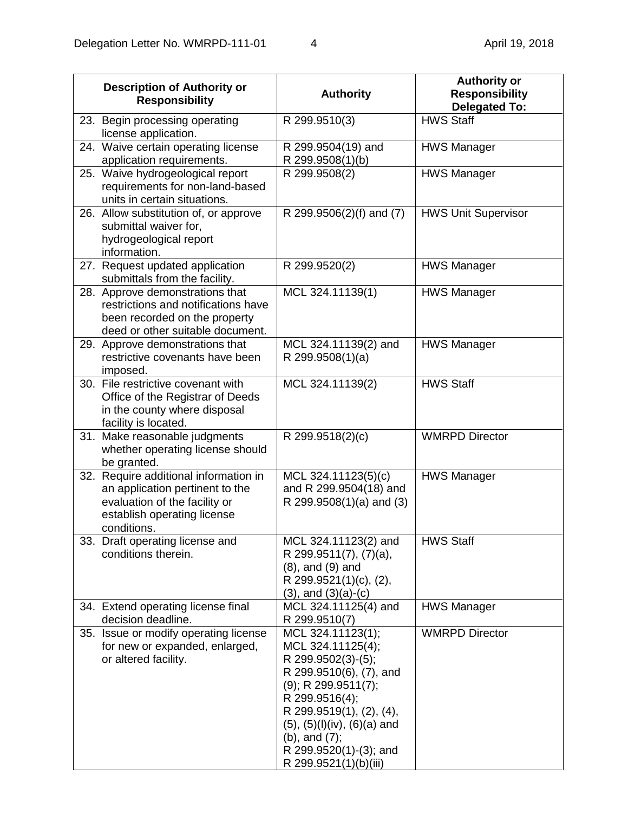|     | <b>Description of Authority or</b><br><b>Responsibility</b>                                                                                             | <b>Authority</b>                                                                                                                                                                                                                                                                 | <b>Authority or</b><br><b>Responsibility</b><br><b>Delegated To:</b> |
|-----|---------------------------------------------------------------------------------------------------------------------------------------------------------|----------------------------------------------------------------------------------------------------------------------------------------------------------------------------------------------------------------------------------------------------------------------------------|----------------------------------------------------------------------|
|     | 23. Begin processing operating<br>license application.                                                                                                  | R 299.9510(3)                                                                                                                                                                                                                                                                    | <b>HWS Staff</b>                                                     |
|     | 24. Waive certain operating license<br>application requirements.                                                                                        | R 299.9504(19) and<br>R 299.9508(1)(b)                                                                                                                                                                                                                                           | <b>HWS Manager</b>                                                   |
|     | 25. Waive hydrogeological report<br>requirements for non-land-based<br>units in certain situations.                                                     | R 299.9508(2)                                                                                                                                                                                                                                                                    | <b>HWS Manager</b>                                                   |
|     | 26. Allow substitution of, or approve<br>submittal waiver for,<br>hydrogeological report<br>information.                                                | R 299.9506(2)(f) and (7)                                                                                                                                                                                                                                                         | <b>HWS Unit Supervisor</b>                                           |
|     | 27. Request updated application<br>submittals from the facility.                                                                                        | R 299.9520(2)                                                                                                                                                                                                                                                                    | <b>HWS Manager</b>                                                   |
|     | 28. Approve demonstrations that<br>restrictions and notifications have<br>been recorded on the property<br>deed or other suitable document.             | MCL 324.11139(1)                                                                                                                                                                                                                                                                 | <b>HWS Manager</b>                                                   |
|     | 29. Approve demonstrations that<br>restrictive covenants have been<br>imposed.                                                                          | MCL 324.11139(2) and<br>R 299.9508(1)(a)                                                                                                                                                                                                                                         | <b>HWS Manager</b>                                                   |
|     | 30. File restrictive covenant with<br>Office of the Registrar of Deeds<br>in the county where disposal<br>facility is located.                          | MCL 324.11139(2)                                                                                                                                                                                                                                                                 | <b>HWS Staff</b>                                                     |
| 31. | Make reasonable judgments<br>whether operating license should<br>be granted.                                                                            | R 299.9518(2)(c)                                                                                                                                                                                                                                                                 | <b>WMRPD Director</b>                                                |
|     | 32. Require additional information in<br>an application pertinent to the<br>evaluation of the facility or<br>establish operating license<br>conditions. | MCL 324.11123(5)(c)<br>and R 299.9504(18) and<br>R 299.9508 $(1)(a)$ and $(3)$                                                                                                                                                                                                   | <b>HWS Manager</b>                                                   |
|     | 33. Draft operating license and<br>conditions therein.                                                                                                  | MCL 324.11123(2) and<br>R 299.9511(7), (7)(a),<br>$(8)$ , and $(9)$ and<br>R 299.9521(1)(c), (2),<br>$(3)$ , and $(3)(a)-(c)$                                                                                                                                                    | <b>HWS Staff</b>                                                     |
|     | 34. Extend operating license final<br>decision deadline.                                                                                                | MCL 324.11125(4) and<br>R 299.9510(7)                                                                                                                                                                                                                                            | <b>HWS Manager</b>                                                   |
|     | 35. Issue or modify operating license<br>for new or expanded, enlarged,<br>or altered facility.                                                         | MCL 324.11123(1);<br>MCL 324.11125(4);<br>R 299.9502(3)-(5);<br>R 299.9510(6), (7), and<br>$(9)$ ; R 299.9511(7);<br>R 299.9516(4);<br>R 299.9519(1), (2), (4),<br>$(5)$ , $(5)(I)(iv)$ , $(6)(a)$ and<br>$(b)$ , and $(7)$ ;<br>R 299.9520(1)-(3); and<br>R 299.9521(1)(b)(iii) | <b>WMRPD Director</b>                                                |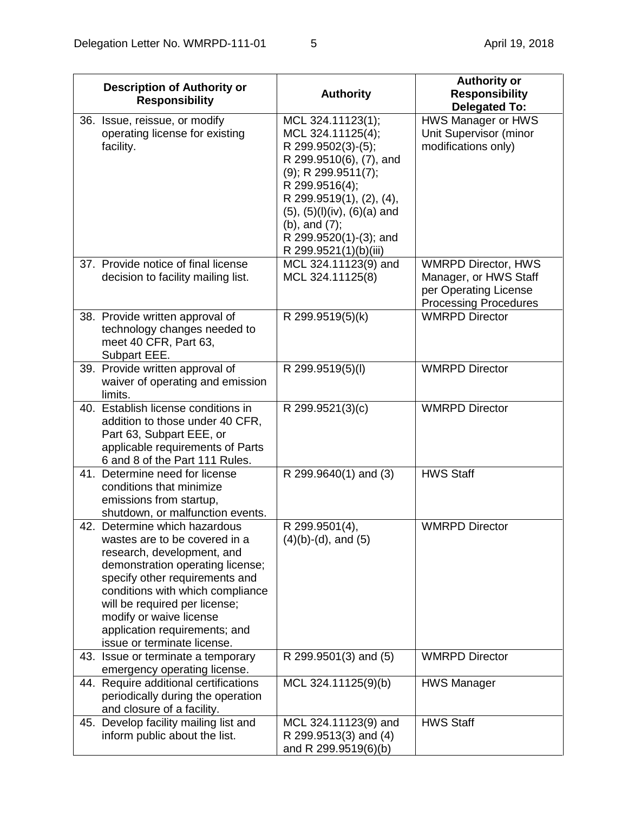| <b>Description of Authority or</b><br><b>Responsibility</b>                                                                                                                                                                                                                                                                        | <b>Authority</b>                                                                                                                                                                                                                                                                 | <b>Authority or</b><br><b>Responsibility</b><br><b>Delegated To:</b>                                         |
|------------------------------------------------------------------------------------------------------------------------------------------------------------------------------------------------------------------------------------------------------------------------------------------------------------------------------------|----------------------------------------------------------------------------------------------------------------------------------------------------------------------------------------------------------------------------------------------------------------------------------|--------------------------------------------------------------------------------------------------------------|
| 36. Issue, reissue, or modify<br>operating license for existing<br>facility.                                                                                                                                                                                                                                                       | MCL 324.11123(1);<br>MCL 324.11125(4);<br>R 299.9502(3)-(5);<br>R 299.9510(6), (7), and<br>$(9)$ ; R 299.9511(7);<br>R 299.9516(4);<br>R 299.9519(1), (2), (4),<br>$(5)$ , $(5)(I)(iv)$ , $(6)(a)$ and<br>$(b)$ , and $(7)$ ;<br>R 299.9520(1)-(3); and<br>R 299.9521(1)(b)(iii) | HWS Manager or HWS<br>Unit Supervisor (minor<br>modifications only)                                          |
| 37. Provide notice of final license<br>decision to facility mailing list.                                                                                                                                                                                                                                                          | MCL 324.11123(9) and<br>MCL 324.11125(8)                                                                                                                                                                                                                                         | <b>WMRPD Director, HWS</b><br>Manager, or HWS Staff<br>per Operating License<br><b>Processing Procedures</b> |
| 38. Provide written approval of<br>technology changes needed to<br>meet 40 CFR, Part 63,<br>Subpart EEE.                                                                                                                                                                                                                           | R 299.9519(5)(k)                                                                                                                                                                                                                                                                 | <b>WMRPD Director</b>                                                                                        |
| 39. Provide written approval of<br>waiver of operating and emission<br>limits.                                                                                                                                                                                                                                                     | R 299.9519(5)(I)                                                                                                                                                                                                                                                                 | <b>WMRPD Director</b>                                                                                        |
| 40. Establish license conditions in<br>addition to those under 40 CFR,<br>Part 63, Subpart EEE, or<br>applicable requirements of Parts<br>6 and 8 of the Part 111 Rules.                                                                                                                                                           | R 299.9521(3)(c)                                                                                                                                                                                                                                                                 | <b>WMRPD Director</b>                                                                                        |
| 41. Determine need for license<br>conditions that minimize<br>emissions from startup,<br>shutdown, or malfunction events.                                                                                                                                                                                                          | R 299.9640(1) and (3)                                                                                                                                                                                                                                                            | <b>HWS Staff</b>                                                                                             |
| 42. Determine which hazardous<br>wastes are to be covered in a<br>research, development, and<br>demonstration operating license;<br>specify other requirements and<br>conditions with which compliance<br>will be required per license;<br>modify or waive license<br>application requirements; and<br>issue or terminate license. | R 299.9501(4),<br>$(4)(b)-(d)$ , and $(5)$                                                                                                                                                                                                                                       | <b>WMRPD Director</b>                                                                                        |
| 43. Issue or terminate a temporary<br>emergency operating license.                                                                                                                                                                                                                                                                 | R 299.9501(3) and (5)                                                                                                                                                                                                                                                            | <b>WMRPD Director</b>                                                                                        |
| 44. Require additional certifications<br>periodically during the operation<br>and closure of a facility.                                                                                                                                                                                                                           | MCL 324.11125(9)(b)                                                                                                                                                                                                                                                              | <b>HWS Manager</b>                                                                                           |
| 45. Develop facility mailing list and<br>inform public about the list.                                                                                                                                                                                                                                                             | MCL 324.11123(9) and<br>R 299.9513(3) and (4)<br>and R 299.9519(6)(b)                                                                                                                                                                                                            | <b>HWS Staff</b>                                                                                             |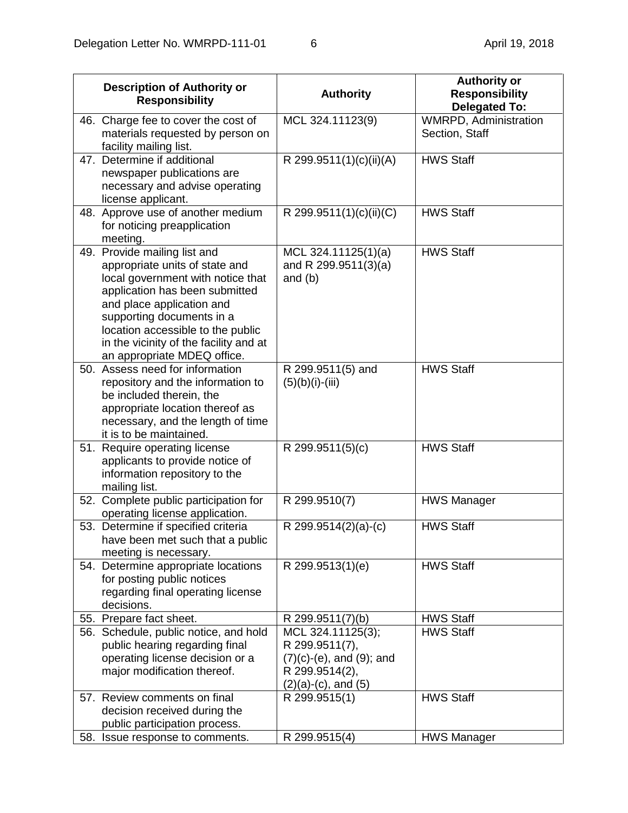|     | <b>Description of Authority or</b><br><b>Responsibility</b>                                                                                                                                                                                                                                                   | <b>Authority</b>                                                                                                    | <b>Authority or</b><br><b>Responsibility</b><br><b>Delegated To:</b> |
|-----|---------------------------------------------------------------------------------------------------------------------------------------------------------------------------------------------------------------------------------------------------------------------------------------------------------------|---------------------------------------------------------------------------------------------------------------------|----------------------------------------------------------------------|
|     | 46. Charge fee to cover the cost of<br>materials requested by person on<br>facility mailing list.                                                                                                                                                                                                             | MCL 324.11123(9)                                                                                                    | <b>WMRPD, Administration</b><br>Section, Staff                       |
|     | 47. Determine if additional<br>newspaper publications are<br>necessary and advise operating<br>license applicant.                                                                                                                                                                                             | R 299.9511(1)(c)(ii)(A)                                                                                             | <b>HWS Staff</b>                                                     |
|     | 48. Approve use of another medium<br>for noticing preapplication<br>meeting.                                                                                                                                                                                                                                  | $\overline{R}$ 299.9511(1)(c)(ii)(C)                                                                                | <b>HWS Staff</b>                                                     |
|     | 49. Provide mailing list and<br>appropriate units of state and<br>local government with notice that<br>application has been submitted<br>and place application and<br>supporting documents in a<br>location accessible to the public<br>in the vicinity of the facility and at<br>an appropriate MDEQ office. | MCL 324.11125(1)(a)<br>and R 299.9511(3)(a)<br>and $(b)$                                                            | <b>HWS Staff</b>                                                     |
|     | 50. Assess need for information<br>repository and the information to<br>be included therein, the<br>appropriate location thereof as<br>necessary, and the length of time<br>it is to be maintained.                                                                                                           | R 299.9511(5) and<br>$(5)(b)(i)-(iii)$                                                                              | <b>HWS Staff</b>                                                     |
|     | 51. Require operating license<br>applicants to provide notice of<br>information repository to the<br>mailing list.                                                                                                                                                                                            | R 299.9511(5)(c)                                                                                                    | <b>HWS Staff</b>                                                     |
|     | 52. Complete public participation for<br>operating license application.                                                                                                                                                                                                                                       | R 299.9510(7)                                                                                                       | <b>HWS Manager</b>                                                   |
|     | 53. Determine if specified criteria<br>have been met such that a public<br>meeting is necessary.                                                                                                                                                                                                              | R 299.9514(2)(a)-(c)                                                                                                | <b>HWS Staff</b>                                                     |
|     | 54. Determine appropriate locations<br>for posting public notices<br>regarding final operating license<br>decisions.                                                                                                                                                                                          | R 299.9513(1)(e)                                                                                                    | <b>HWS Staff</b>                                                     |
|     | 55. Prepare fact sheet.                                                                                                                                                                                                                                                                                       | R 299.9511(7)(b)                                                                                                    | <b>HWS Staff</b>                                                     |
|     | 56. Schedule, public notice, and hold<br>public hearing regarding final<br>operating license decision or a<br>major modification thereof.                                                                                                                                                                     | MCL 324.11125(3);<br>R 299.9511(7),<br>$(7)(c)-(e)$ , and $(9)$ ; and<br>R 299.9514(2),<br>$(2)(a)-(c)$ , and $(5)$ | <b>HWS Staff</b>                                                     |
|     | 57. Review comments on final<br>decision received during the<br>public participation process.<br>Issue response to comments.                                                                                                                                                                                  | R 299.9515(1)                                                                                                       | <b>HWS Staff</b>                                                     |
| 58. |                                                                                                                                                                                                                                                                                                               | R 299.9515(4)                                                                                                       | <b>HWS Manager</b>                                                   |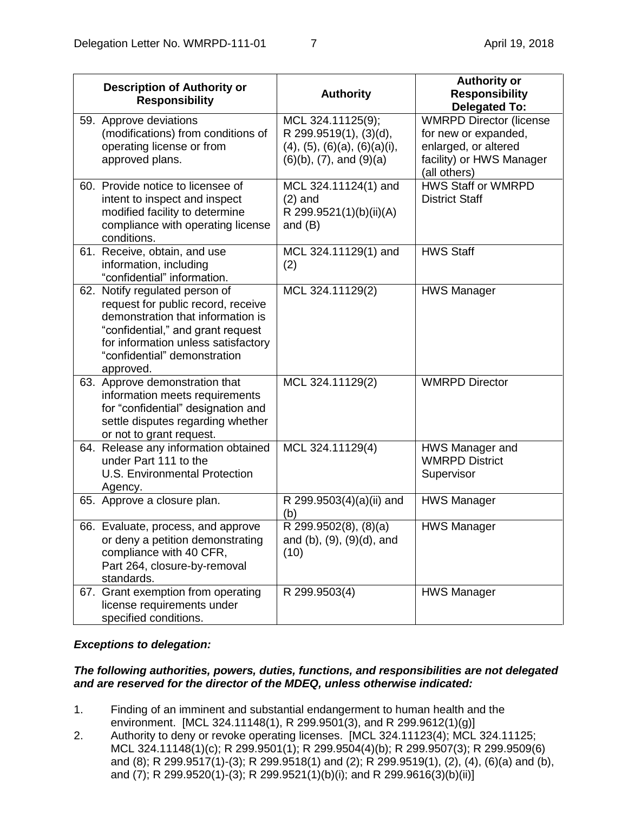| <b>Description of Authority or</b><br><b>Responsibility</b>                                                                                                                                                                        | <b>Authority</b>                                                                                                           | <b>Authority or</b><br><b>Responsibility</b><br><b>Delegated To:</b>                                                       |
|------------------------------------------------------------------------------------------------------------------------------------------------------------------------------------------------------------------------------------|----------------------------------------------------------------------------------------------------------------------------|----------------------------------------------------------------------------------------------------------------------------|
| 59. Approve deviations<br>(modifications) from conditions of<br>operating license or from<br>approved plans.                                                                                                                       | MCL 324.11125(9);<br>R 299.9519(1), (3)(d),<br>$(4)$ , $(5)$ , $(6)(a)$ , $(6)(a)(i)$ ,<br>$(6)(b)$ , $(7)$ , and $(9)(a)$ | <b>WMRPD Director (license</b><br>for new or expanded,<br>enlarged, or altered<br>facility) or HWS Manager<br>(all others) |
| 60. Provide notice to licensee of<br>intent to inspect and inspect<br>modified facility to determine<br>compliance with operating license<br>conditions.                                                                           | MCL 324.11124(1) and<br>$(2)$ and<br>R 299.9521(1)(b)(ii)(A)<br>and $(B)$                                                  | <b>HWS Staff or WMRPD</b><br><b>District Staff</b>                                                                         |
| 61. Receive, obtain, and use<br>information, including<br>"confidential" information.                                                                                                                                              | MCL 324.11129(1) and<br>(2)                                                                                                | <b>HWS Staff</b>                                                                                                           |
| 62. Notify regulated person of<br>request for public record, receive<br>demonstration that information is<br>"confidential," and grant request<br>for information unless satisfactory<br>"confidential" demonstration<br>approved. | MCL 324.11129(2)                                                                                                           | <b>HWS Manager</b>                                                                                                         |
| 63. Approve demonstration that<br>information meets requirements<br>for "confidential" designation and<br>settle disputes regarding whether<br>or not to grant request.                                                            | MCL 324.11129(2)                                                                                                           | <b>WMRPD Director</b>                                                                                                      |
| 64. Release any information obtained<br>under Part 111 to the<br><b>U.S. Environmental Protection</b><br>Agency.                                                                                                                   | MCL 324.11129(4)                                                                                                           | HWS Manager and<br><b>WMRPD District</b><br>Supervisor                                                                     |
| 65. Approve a closure plan.                                                                                                                                                                                                        | R 299.9503(4)(a)(ii) and<br>(b)                                                                                            | <b>HWS Manager</b>                                                                                                         |
| 66. Evaluate, process, and approve<br>or deny a petition demonstrating<br>compliance with 40 CFR,<br>Part 264, closure-by-removal<br>standards.                                                                                    | $\overline{R}$ 299.9502(8), (8)(a)<br>and $(b)$ , $(9)$ , $(9)(d)$ , and<br>(10)                                           | <b>HWS Manager</b>                                                                                                         |
| 67. Grant exemption from operating<br>license requirements under<br>specified conditions.                                                                                                                                          | R 299.9503(4)                                                                                                              | <b>HWS Manager</b>                                                                                                         |

# *Exceptions to delegation:*

## *The following authorities, powers, duties, functions, and responsibilities are not delegated and are reserved for the director of the MDEQ, unless otherwise indicated:*

- 1. Finding of an imminent and substantial endangerment to human health and the environment. [MCL 324.11148(1), R 299.9501(3), and R 299.9612(1)(g)]
- 2. Authority to deny or revoke operating licenses. [MCL 324.11123(4); MCL 324.11125; MCL 324.11148(1)(c); R 299.9501(1); R 299.9504(4)(b); R 299.9507(3); R 299.9509(6) and (8); R 299.9517(1)-(3); R 299.9518(1) and (2); R 299.9519(1), (2), (4), (6)(a) and (b), and (7); R 299.9520(1)-(3); R 299.9521(1)(b)(i); and R 299.9616(3)(b)(ii)]